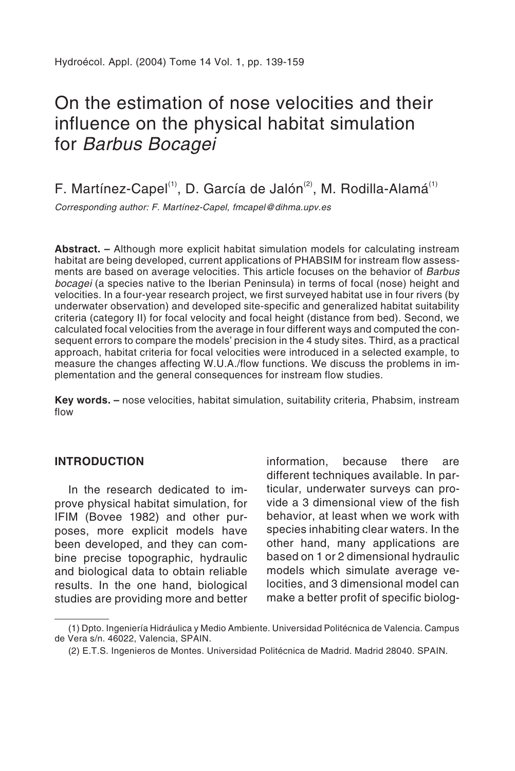# On the estimation of nose velocities and their influence on the physical habitat simulation for Barbus Bocagei

F. Martínez-Capel<sup>(1)</sup>, D. García de Jalón<sup>(2)</sup>, M. Rodilla-Alamá<sup>(1)</sup>

Corresponding author: F. Martínez-Capel, fmcapel@dihma.upv.es

**Abstract. –** Although more explicit habitat simulation models for calculating instream habitat are being developed, current applications of PHABSIM for instream flow assessments are based on average velocities. This article focuses on the behavior of Barbus bocagei (a species native to the Iberian Peninsula) in terms of focal (nose) height and velocities. In a four-year research project, we first surveyed habitat use in four rivers (by underwater observation) and developed site-specific and generalized habitat suitability criteria (category II) for focal velocity and focal height (distance from bed). Second, we calculated focal velocities from the average in four different ways and computed the consequent errors to compare the models' precision in the 4 study sites. Third, as a practical approach, habitat criteria for focal velocities were introduced in a selected example, to measure the changes affecting W.U.A./flow functions. We discuss the problems in implementation and the general consequences for instream flow studies.

**Key words. –** nose velocities, habitat simulation, suitability criteria, Phabsim, instream flow

#### **INTRODUCTION**

In the research dedicated to improve physical habitat simulation, for IFIM (Bovee 1982) and other purposes, more explicit models have been developed, and they can combine precise topographic, hydraulic and biological data to obtain reliable results. In the one hand, biological studies are providing more and better information, because there are different techniques available. In particular, underwater surveys can provide a 3 dimensional view of the fish behavior, at least when we work with species inhabiting clear waters. In the other hand, many applications are based on 1 or 2 dimensional hydraulic models which simulate average velocities, and 3 dimensional model can make a better profit of specific biolog-

<sup>(1)</sup> Dpto. Ingeniería Hidráulica y Medio Ambiente. Universidad Politécnica de Valencia. Campus de Vera s/n. 46022, Valencia, SPAIN.

<sup>(2)</sup> E.T.S. Ingenieros de Montes. Universidad Politécnica de Madrid. Madrid 28040. SPAIN.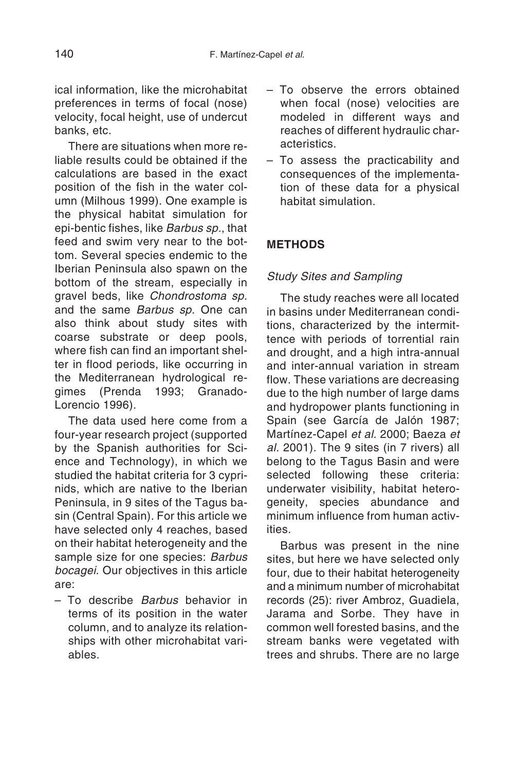ical information, like the microhabitat preferences in terms of focal (nose) velocity, focal height, use of undercut banks, etc.

There are situations when more reliable results could be obtained if the calculations are based in the exact position of the fish in the water column (Milhous 1999). One example is the physical habitat simulation for epi-bentic fishes, like Barbus sp., that feed and swim very near to the bottom. Several species endemic to the Iberian Peninsula also spawn on the bottom of the stream, especially in gravel beds, like Chondrostoma sp. and the same Barbus sp. One can also think about study sites with coarse substrate or deep pools, where fish can find an important shelter in flood periods, like occurring in the Mediterranean hydrological regimes (Prenda 1993; Granado-Lorencio 1996).

The data used here come from a four-year research project (supported by the Spanish authorities for Science and Technology), in which we studied the habitat criteria for 3 cyprinids, which are native to the Iberian Peninsula, in 9 sites of the Tagus basin (Central Spain). For this article we have selected only 4 reaches, based on their habitat heterogeneity and the sample size for one species: Barbus bocagei. Our objectives in this article are:

– To describe Barbus behavior in terms of its position in the water column, and to analyze its relationships with other microhabitat variables.

- To observe the errors obtained when focal (nose) velocities are modeled in different ways and reaches of different hydraulic characteristics.
- To assess the practicability and consequences of the implementation of these data for a physical habitat simulation.

# **METHODS**

# Study Sites and Sampling

The study reaches were all located in basins under Mediterranean conditions, characterized by the intermittence with periods of torrential rain and drought, and a high intra-annual and inter-annual variation in stream flow. These variations are decreasing due to the high number of large dams and hydropower plants functioning in Spain (see García de Jalón 1987; Martínez-Capel et al. 2000; Baeza et al. 2001). The 9 sites (in 7 rivers) all belong to the Tagus Basin and were selected following these criteria: underwater visibility, habitat heterogeneity, species abundance and minimum influence from human activities.

Barbus was present in the nine sites, but here we have selected only four, due to their habitat heterogeneity and a minimum number of microhabitat records (25): river Ambroz, Guadiela, Jarama and Sorbe. They have in common well forested basins, and the stream banks were vegetated with trees and shrubs. There are no large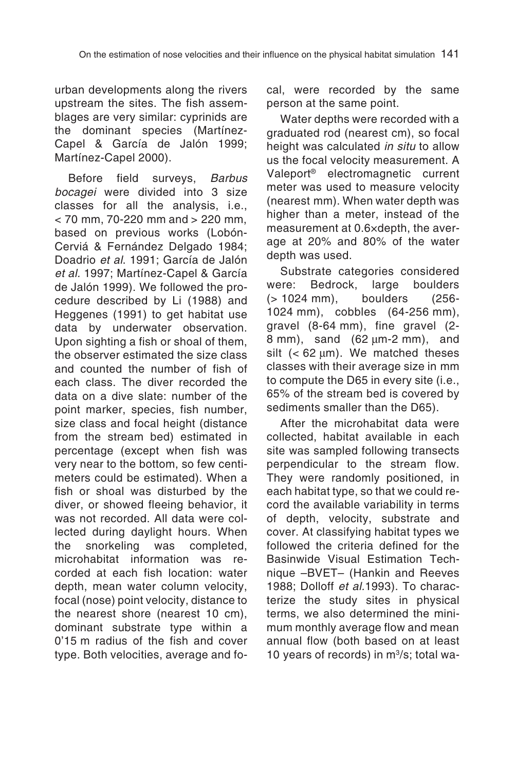urban developments along the rivers upstream the sites. The fish assemblages are very similar: cyprinids are the dominant species (Martínez-Capel & García de Jalón 1999; Martínez-Capel 2000).

Before field surveys, Barbus bocagei were divided into 3 size classes for all the analysis, i.e.,  $<$  70 mm, 70-220 mm and  $>$  220 mm, based on previous works (Lobón-Cerviá & Fernández Delgado 1984; Doadrio et al. 1991; García de Jalón et al. 1997; Martínez-Capel & García de Jalón 1999). We followed the procedure described by Li (1988) and Heggenes (1991) to get habitat use data by underwater observation. Upon sighting a fish or shoal of them, the observer estimated the size class and counted the number of fish of each class. The diver recorded the data on a dive slate: number of the point marker, species, fish number, size class and focal height (distance from the stream bed) estimated in percentage (except when fish was very near to the bottom, so few centimeters could be estimated). When a fish or shoal was disturbed by the diver, or showed fleeing behavior, it was not recorded. All data were collected during daylight hours. When<br>the snorkeling was completed, the snorkeling was microhabitat information was recorded at each fish location: water depth, mean water column velocity, focal (nose) point velocity, distance to the nearest shore (nearest 10 cm), dominant substrate type within a 0'15 m radius of the fish and cover type. Both velocities, average and focal, were recorded by the same person at the same point.

Water depths were recorded with a graduated rod (nearest cm), so focal height was calculated in situ to allow us the focal velocity measurement. A Valeport® electromagnetic current meter was used to measure velocity (nearest mm). When water depth was higher than a meter, instead of the measurement at 0.6×depth, the average at 20% and 80% of the water depth was used.

Substrate categories considered<br>ere: Bedrock, large boulders were: Bedrock, large boulders (> 1024 mm), boulders (256- 1024 mm), cobbles (64-256 mm), gravel (8-64 mm), fine gravel (2- 8 mm), sand (62 µm-2 mm), and silt  $( $62 \mu m$ ). We matched these$ classes with their average size in mm to compute the D65 in every site (i.e., 65% of the stream bed is covered by sediments smaller than the D65).

After the microhabitat data were collected, habitat available in each site was sampled following transects perpendicular to the stream flow. They were randomly positioned, in each habitat type, so that we could record the available variability in terms of depth, velocity, substrate and cover. At classifying habitat types we followed the criteria defined for the Basinwide Visual Estimation Technique –BVET– (Hankin and Reeves 1988; Dolloff et al.1993). To characterize the study sites in physical terms, we also determined the minimum monthly average flow and mean annual flow (both based on at least 10 years of records) in m3/s; total wa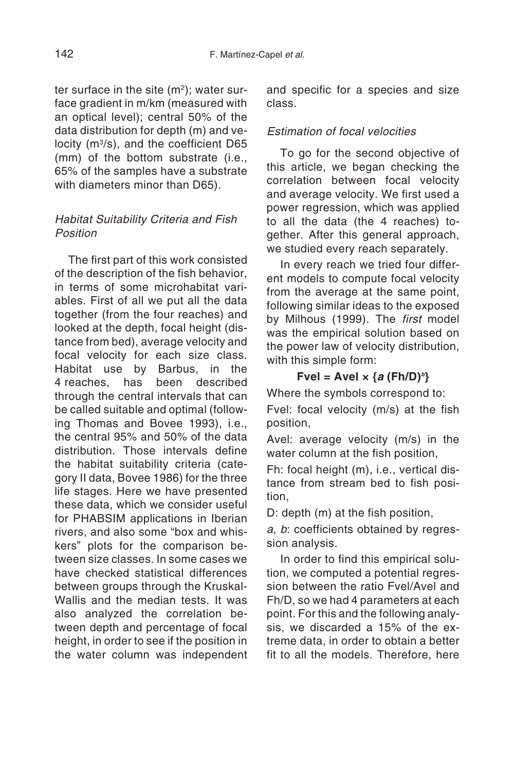ter surface in the site  $(m<sup>2</sup>)$ ; water surface gradient in m/km (measured with an optical level); central 50% of the data distribution for depth (m) and velocity (m3/s), and the coefficient D65 (mm) of the bottom substrate (i.e., 65% of the samples have a substrate with diameters minor than D65).

### Habitat Suitability Criteria and Fish Position

The first part of this work consisted of the description of the fish behavior, in terms of some microhabitat variables. First of all we put all the data together (from the four reaches) and looked at the depth, focal height (distance from bed), average velocity and focal velocity for each size class. Habitat use by Barbus, in the 4 reaches, has been described through the central intervals that can be called suitable and optimal (following Thomas and Bovee 1993), i.e., the central 95% and 50% of the data distribution. Those intervals define the habitat suitability criteria (category II data, Bovee 1986) for the three life stages. Here we have presented these data, which we consider useful for PHABSIM applications in Iberian rivers, and also some "box and whiskers" plots for the comparison between size classes. In some cases we have checked statistical differences between groups through the Kruskal-Wallis and the median tests. It was also analyzed the correlation between depth and percentage of focal height, in order to see if the position in the water column was independent and specific for a species and size class.

# Estimation of focal velocities

To go for the second objective of this article, we began checking the correlation between focal velocity and average velocity. We first used a power regression, which was applied to all the data (the 4 reaches) together. After this general approach, we studied every reach separately.

In every reach we tried four different models to compute focal velocity from the average at the same point, following similar ideas to the exposed by Milhous (1999). The first model was the empirical solution based on the power law of velocity distribution, with this simple form:

# $Fvel = AveI \times {a (Fh/D)}^b$

Where the symbols correspond to:

Fvel: focal velocity (m/s) at the fish position,

Avel: average velocity (m/s) in the water column at the fish position,

Fh: focal height (m), i.e., vertical distance from stream bed to fish position,

D: depth (m) at the fish position,

<sup>a</sup>, b: coefficients obtained by regression analysis.

In order to find this empirical solution, we computed a potential regression between the ratio Fvel/Avel and Fh/D, so we had 4 parameters at each point. For this and the following analysis, we discarded a 15% of the extreme data, in order to obtain a better fit to all the models. Therefore, here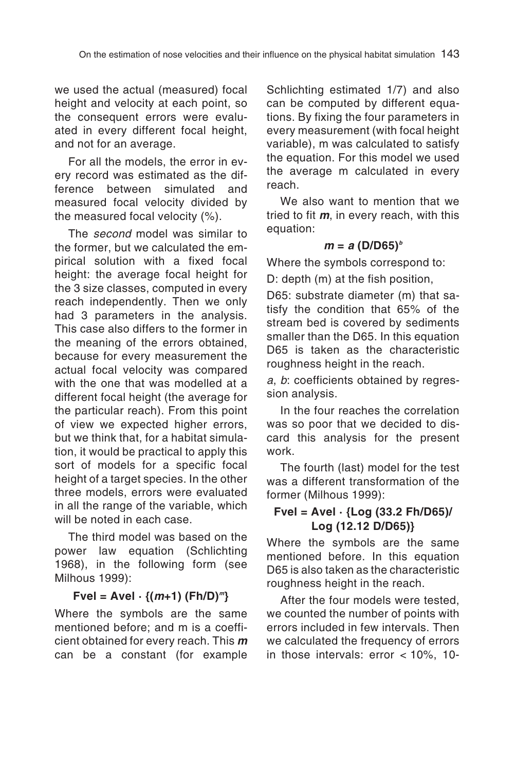we used the actual (measured) focal height and velocity at each point, so the consequent errors were evaluated in every different focal height, and not for an average.

For all the models, the error in every record was estimated as the difference between simulated and measured focal velocity divided by the measured focal velocity (%).

The *second* model was similar to the former, but we calculated the empirical solution with a fixed focal height: the average focal height for the 3 size classes, computed in every reach independently. Then we only had 3 parameters in the analysis. This case also differs to the former in the meaning of the errors obtained, because for every measurement the actual focal velocity was compared with the one that was modelled at a different focal height (the average for the particular reach). From this point of view we expected higher errors, but we think that, for a habitat simulation, it would be practical to apply this sort of models for a specific focal height of a target species. In the other three models, errors were evaluated in all the range of the variable, which will be noted in each case.

The third model was based on the power law equation (Schlichting 1968), in the following form (see Milhous 1999):

# $Fvel = Ave! \{ (m+1) (Fh/D)^m \}$

Where the symbols are the same mentioned before; and m is a coefficient obtained for every reach. This **<sup>m</sup>** can be a constant (for example

Schlichting estimated 1/7) and also can be computed by different equations. By fixing the four parameters in every measurement (with focal height variable), m was calculated to satisfy the equation. For this model we used the average m calculated in every reach.

We also want to mention that we tried to fit **<sup>m</sup>**, in every reach, with this equation:

#### $m = a \, (D/D65)^b$

Where the symbols correspond to:

D: depth (m) at the fish position,

D65: substrate diameter (m) that satisfy the condition that 65% of the stream bed is covered by sediments smaller than the D65. In this equation D65 is taken as the characteristic roughness height in the reach.

<sup>a</sup>, b: coefficients obtained by regression analysis.

In the four reaches the correlation was so poor that we decided to discard this analysis for the present work.

The fourth (last) model for the test was a different transformation of the former (Milhous 1999):

# **Fvel = Avel · {Log (33.2 Fh/D65)/ Log (12.12 D/D65)}**

Where the symbols are the same mentioned before. In this equation D65 is also taken as the characteristic roughness height in the reach.

After the four models were tested, we counted the number of points with errors included in few intervals. Then we calculated the frequency of errors in those intervals: error < 10%, 10-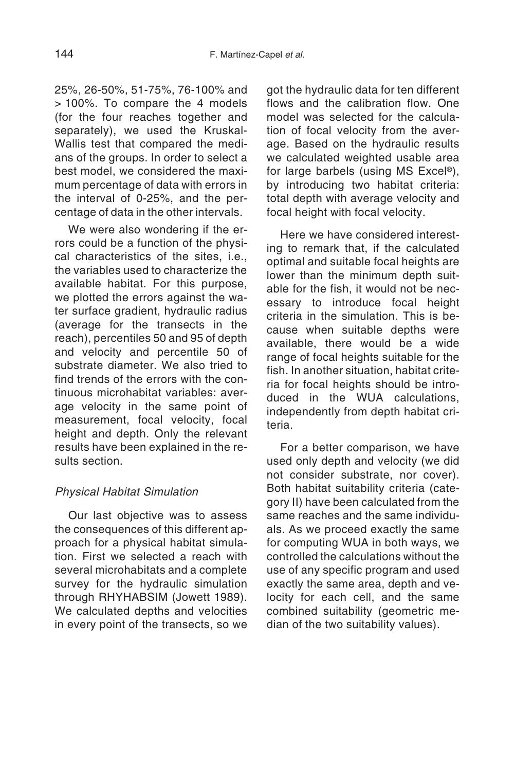25%, 26-50%, 51-75%, 76-100% and > 100%. To compare the 4 models (for the four reaches together and separately), we used the Kruskal-Wallis test that compared the medians of the groups. In order to select a best model, we considered the maximum percentage of data with errors in the interval of 0-25%, and the percentage of data in the other intervals.

We were also wondering if the errors could be a function of the physical characteristics of the sites, i.e., the variables used to characterize the available habitat. For this purpose, we plotted the errors against the water surface gradient, hydraulic radius (average for the transects in the reach), percentiles 50 and 95 of depth and velocity and percentile 50 of substrate diameter. We also tried to find trends of the errors with the continuous microhabitat variables: average velocity in the same point of measurement, focal velocity, focal height and depth. Only the relevant results have been explained in the results section.

# Physical Habitat Simulation

Our last objective was to assess the consequences of this different approach for a physical habitat simulation. First we selected a reach with several microhabitats and a complete survey for the hydraulic simulation through RHYHABSIM (Jowett 1989). We calculated depths and velocities in every point of the transects, so we

got the hydraulic data for ten different flows and the calibration flow. One model was selected for the calculation of focal velocity from the average. Based on the hydraulic results we calculated weighted usable area for large barbels (using MS Excel®). by introducing two habitat criteria: total depth with average velocity and focal height with focal velocity.

Here we have considered interesting to remark that, if the calculated optimal and suitable focal heights are lower than the minimum depth suitable for the fish, it would not be necessary to introduce focal height criteria in the simulation. This is because when suitable depths were available, there would be a wide range of focal heights suitable for the fish. In another situation, habitat criteria for focal heights should be introduced in the WUA calculations, independently from depth habitat criteria.

For a better comparison, we have used only depth and velocity (we did not consider substrate, nor cover). Both habitat suitability criteria (category II) have been calculated from the same reaches and the same individuals. As we proceed exactly the same for computing WUA in both ways, we controlled the calculations without the use of any specific program and used exactly the same area, depth and velocity for each cell, and the same combined suitability (geometric median of the two suitability values).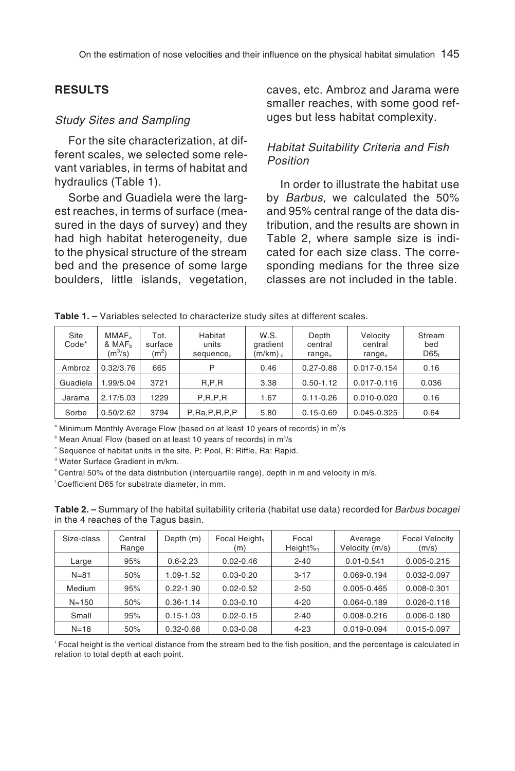#### **RESULTS**

#### Study Sites and Sampling

For the site characterization, at different scales, we selected some relevant variables, in terms of habitat and hydraulics (Table 1).

Sorbe and Guadiela were the largest reaches, in terms of surface (measured in the days of survey) and they had high habitat heterogeneity, due to the physical structure of the stream bed and the presence of some large boulders, little islands, vegetation, caves, etc. Ambroz and Jarama were smaller reaches, with some good refuges but less habitat complexity.

#### Habitat Suitability Criteria and Fish Position

In order to illustrate the habitat use by Barbus, we calculated the 50% and 95% central range of the data distribution, and the results are shown in Table 2, where sample size is indicated for each size class. The corresponding medians for the three size classes are not included in the table.

| Site<br>Code* | MMAF <sub>a</sub><br>& MAF <sub>h</sub><br>$(m^3/s)$ | Tot.<br>surface<br>(m <sup>2</sup> ) | Habitat<br>units<br>sequence. | W.S.<br>gradient<br>$(m/km)$ <sub>d</sub> | Depth<br>central<br>range <sub>e</sub> | Velocity<br>central<br>range <sub>e</sub> | Stream<br>bed<br>$D65_f$ |
|---------------|------------------------------------------------------|--------------------------------------|-------------------------------|-------------------------------------------|----------------------------------------|-------------------------------------------|--------------------------|
| Ambroz        | 0.32/3.76                                            | 665                                  | P                             | 0.46                                      | $0.27 - 0.88$                          | 0.017-0.154                               | 0.16                     |
| Guadiela      | 1.99/5.04                                            | 3721                                 | R.P.R                         | 3.38                                      | $0.50 - 1.12$                          | $0.017 - 0.116$                           | 0.036                    |
| Jarama        | 2.17/5.03                                            | 1229                                 | P, R, P, R                    | 1.67                                      | $0.11 - 0.26$                          | $0.010 - 0.020$                           | 0.16                     |
| Sorbe         | 0.50/2.62                                            | 3794                                 | P, Ra, P, R, P, P             | 5.80                                      | $0.15 - 0.69$                          | 0.045-0.325                               | 0.64                     |

 $\,^{\textrm{\tiny{\textup{a}}}}$  Minimum Monthly Average Flow (based on at least 10 years of records) in m $\,3/$ s

 $^{\circ}$  Mean Anual Flow (based on at least 10 years of records) in m $^{\circ}\!$ /s

<sup>c</sup> Sequence of habitat units in the site. P: Pool, R: Riffle, Ra: Rapid.

d Water Surface Gradient in m/km.

e Central 50% of the data distribution (interquartile range), depth in m and velocity in m/s.

f Coefficient D65 for substrate diameter, in mm.

**Table 2. –** Summary of the habitat suitability criteria (habitat use data) recorded for Barbus bocagei in the 4 reaches of the Tagus basin.

| Size-class | Central<br>Range | Depth (m)     | Focal Height <sub>1</sub><br>(m) | Focal<br>Height $\%$ <sub>1</sub> | Average<br>Velocity (m/s) | <b>Focal Velocity</b><br>(m/s) |
|------------|------------------|---------------|----------------------------------|-----------------------------------|---------------------------|--------------------------------|
| Large      | 95%              | $0.6 - 2.23$  | $0.02 - 0.46$                    | $2 - 40$                          | $0.01 - 0.541$            | $0.005 - 0.215$                |
| $N = 81$   | 50%              | 1.09-1.52     | $0.03 - 0.20$                    | $3 - 17$                          | 0.069-0.194               | 0.032-0.097                    |
| Medium     | 95%              | $0.22 - 1.90$ | $0.02 - 0.52$                    | $2 - 50$                          | 0.005-0.465               | 0.008-0.301                    |
| $N = 150$  | 50%              | $0.36 - 1.14$ | $0.03 - 0.10$                    | $4 - 20$                          | 0.064-0.189               | $0.026 - 0.118$                |
| Small      | 95%              | $0.15 - 1.03$ | $0.02 - 0.15$                    | $2 - 40$                          | 0.008-0.216               | $0.006 - 0.180$                |
| $N = 18$   | 50%              | $0.32 - 0.68$ | $0.03 - 0.08$                    | $4 - 23$                          | 0.019-0.094               | 0.015-0.097                    |

1 Focal height is the vertical distance from the stream bed to the fish position, and the percentage is calculated in relation to total depth at each point.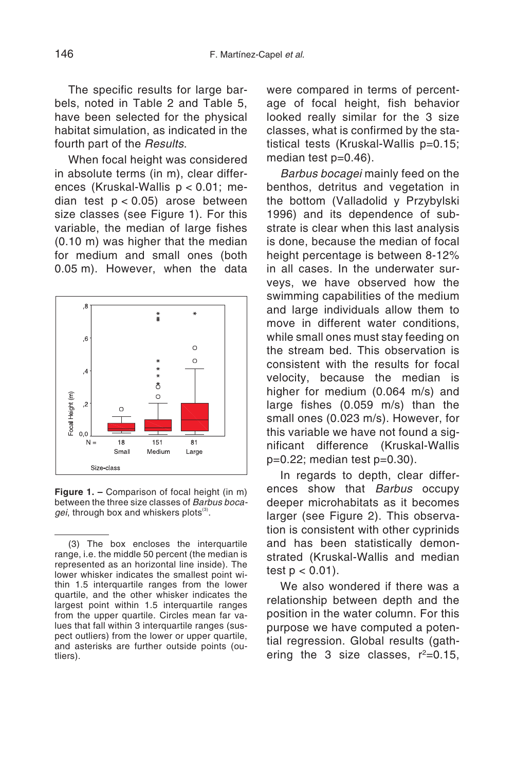The specific results for large barbels, noted in Table 2 and Table 5, have been selected for the physical habitat simulation, as indicated in the fourth part of the Results.

When focal height was considered in absolute terms (in m), clear differences (Kruskal-Wallis p < 0.01; median test  $p < 0.05$ ) arose between size classes (see Figure 1). For this variable, the median of large fishes (0.10 m) was higher that the median for medium and small ones (both 0.05 m). However, when the data



**Figure 1. –** Comparison of focal height (in m) between the three size classes of Barbus boca $gei$ , through box and whiskers plots $(3)$ .

were compared in terms of percentage of focal height, fish behavior looked really similar for the 3 size classes, what is confirmed by the statistical tests (Kruskal-Wallis p=0.15; median test p=0.46).

Barbus bocagei mainly feed on the benthos, detritus and vegetation in the bottom (Valladolid y Przybylski 1996) and its dependence of substrate is clear when this last analysis is done, because the median of focal height percentage is between 8-12% in all cases. In the underwater surveys, we have observed how the swimming capabilities of the medium and large individuals allow them to move in different water conditions, while small ones must stay feeding on the stream bed. This observation is consistent with the results for focal velocity, because the median is higher for medium (0.064 m/s) and large fishes (0.059 m/s) than the small ones (0.023 m/s). However, for this variable we have not found a significant difference (Kruskal-Wallis p=0.22; median test p=0.30).

In regards to depth, clear differences show that Barbus occupy deeper microhabitats as it becomes larger (see Figure 2). This observation is consistent with other cyprinids and has been statistically demonstrated (Kruskal-Wallis and median test  $p < 0.01$ ).

We also wondered if there was a relationship between depth and the position in the water column. For this purpose we have computed a potential regression. Global results (gathering the 3 size classes,  $r^2=0.15$ ,

<sup>(3)</sup> The box encloses the interquartile range, i.e. the middle 50 percent (the median is represented as an horizontal line inside). The lower whisker indicates the smallest point within 1.5 interquartile ranges from the lower quartile, and the other whisker indicates the largest point within 1.5 interquartile ranges from the upper quartile. Circles mean far values that fall within 3 interquartile ranges (suspect outliers) from the lower or upper quartile, and asterisks are further outside points (outliers).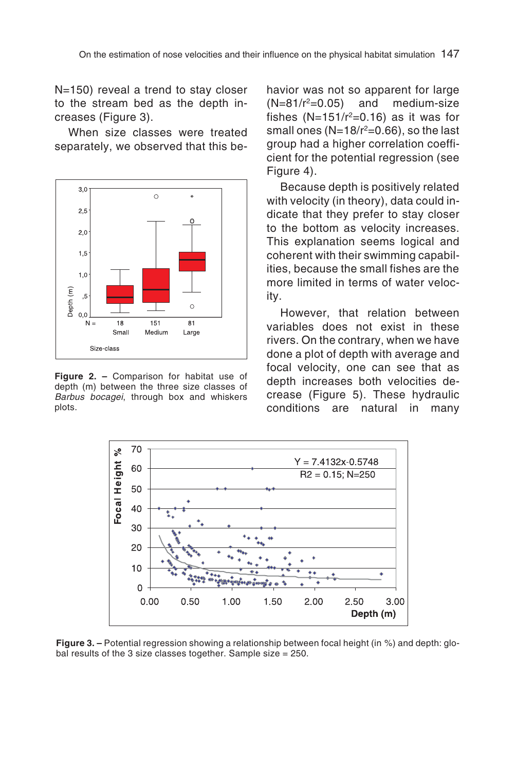N=150) reveal a trend to stay closer to the stream bed as the depth increases (Figure 3).

When size classes were treated separately, we observed that this be-



**Figure 2. –** Comparison for habitat use of depth (m) between the three size classes of Barbus bocagei, through box and whiskers plots.

havior was not so apparent for large  $(N=81/r^2=0.05)$  and medium-size fishes  $(N=151/r^2=0.16)$  as it was for small ones  $(N=18/r^2=0.66)$ , so the last group had a higher correlation coefficient for the potential regression (see Figure 4).

Because depth is positively related with velocity (in theory), data could indicate that they prefer to stay closer to the bottom as velocity increases. This explanation seems logical and coherent with their swimming capabilities, because the small fishes are the more limited in terms of water velocity.

However, that relation between variables does not exist in these rivers. On the contrary, when we have done a plot of depth with average and focal velocity, one can see that as depth increases both velocities decrease (Figure 5). These hydraulic conditions are natural in many



**Figure 3. –** Potential regression showing a relationship between focal height (in %) and depth: global results of the 3 size classes together. Sample size = 250.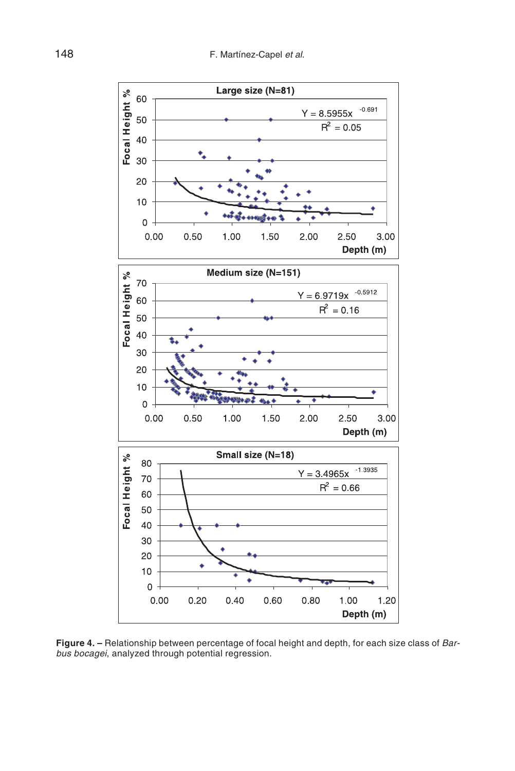

**Figure 4. –** Relationship between percentage of focal height and depth, for each size class of Barbus bocagei, analyzed through potential regression.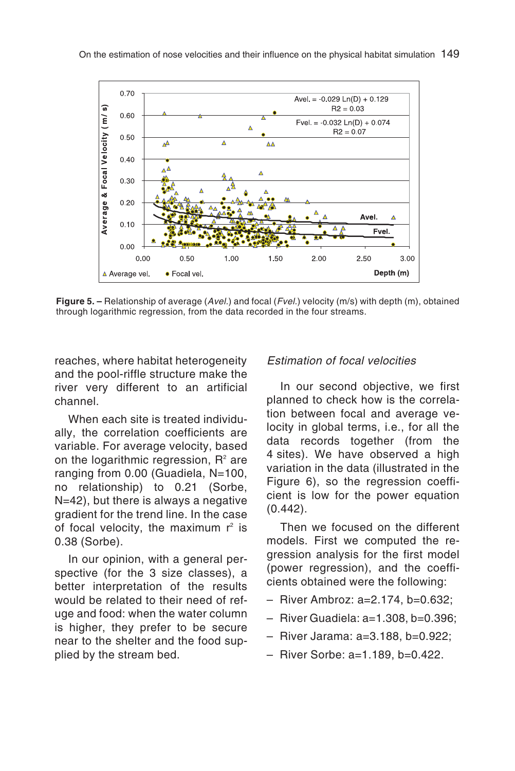

**Figure 5. –** Relationship of average (Avel.) and focal (Fvel.) velocity (m/s) with depth (m), obtained through logarithmic regression, from the data recorded in the four streams.

reaches, where habitat heterogeneity and the pool-riffle structure make the river very different to an artificial channel.

When each site is treated individually, the correlation coefficients are variable. For average velocity, based on the logarithmic regression,  $R^2$  are ranging from 0.00 (Guadiela, N=100, no relationship) to 0.21 (Sorbe, N=42), but there is always a negative gradient for the trend line. In the case of focal velocity, the maximum  $r^2$  is 0.38 (Sorbe).

In our opinion, with a general perspective (for the 3 size classes), a better interpretation of the results would be related to their need of refuge and food: when the water column is higher, they prefer to be secure near to the shelter and the food supplied by the stream bed.

#### Estimation of focal velocities

In our second objective, we first planned to check how is the correlation between focal and average velocity in global terms, i.e., for all the data records together (from the 4 sites). We have observed a high variation in the data (illustrated in the Figure 6), so the regression coefficient is low for the power equation (0.442).

Then we focused on the different models. First we computed the regression analysis for the first model (power regression), and the coefficients obtained were the following:

- River Ambroz: a=2.174, b=0.632;
- River Guadiela: a=1.308, b=0.396;
- River Jarama: a=3.188, b=0.922;
- River Sorbe: a=1.189, b=0.422.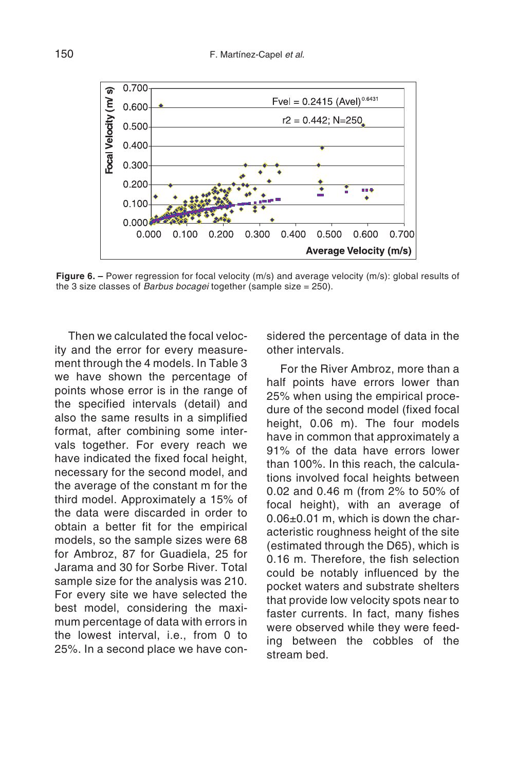

**Figure 6.** – Power regression for focal velocity (m/s) and average velocity (m/s); global results of the 3 size classes of Barbus bocagei together (sample size = 250).

Then we calculated the focal velocity and the error for every measurement through the 4 models. In Table 3 we have shown the percentage of points whose error is in the range of the specified intervals (detail) and also the same results in a simplified format, after combining some intervals together. For every reach we have indicated the fixed focal height, necessary for the second model, and the average of the constant m for the third model. Approximately a 15% of the data were discarded in order to obtain a better fit for the empirical models, so the sample sizes were 68 for Ambroz, 87 for Guadiela, 25 for Jarama and 30 for Sorbe River. Total sample size for the analysis was 210. For every site we have selected the best model, considering the maximum percentage of data with errors in the lowest interval, i.e., from 0 to 25%. In a second place we have considered the percentage of data in the other intervals.

For the River Ambroz, more than a half points have errors lower than 25% when using the empirical procedure of the second model (fixed focal height, 0.06 m). The four models have in common that approximately a 91% of the data have errors lower than 100%. In this reach, the calculations involved focal heights between 0.02 and 0.46 m (from 2% to 50% of focal height), with an average of 0.06±0.01 m, which is down the characteristic roughness height of the site (estimated through the D65), which is 0.16 m. Therefore, the fish selection could be notably influenced by the pocket waters and substrate shelters that provide low velocity spots near to faster currents. In fact, many fishes were observed while they were feeding between the cobbles of the stream bed.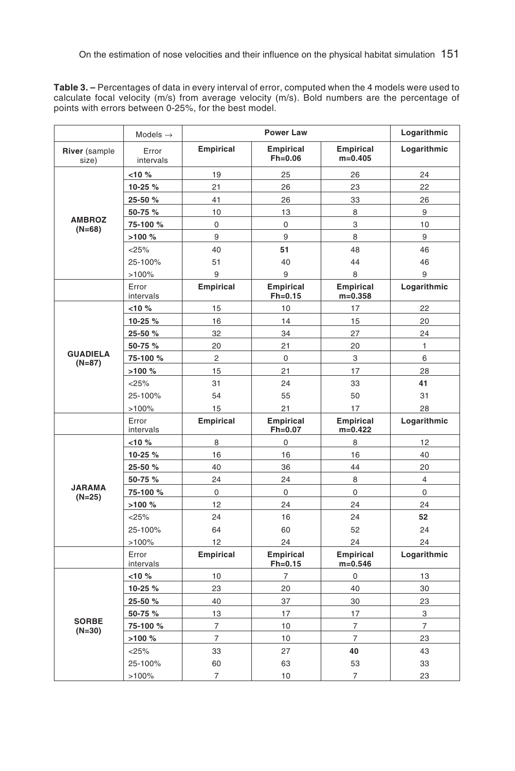**Table 3. –** Percentages of data in every interval of error, computed when the 4 models were used to calculate focal velocity (m/s) from average velocity (m/s). Bold numbers are the percentage of points with errors between 0-25%, for the best model.

|                             | Models $\rightarrow$ | <b>Power Law</b> |                               |                               | Logarithmic    |
|-----------------------------|----------------------|------------------|-------------------------------|-------------------------------|----------------|
| River (sample<br>size)      | Error<br>intervals   | <b>Empirical</b> | Empirical<br>$Fh=0.06$        | <b>Empirical</b><br>$m=0.405$ | Logarithmic    |
|                             | $< 10 \%$            | 19               | 25                            | 26                            | 24             |
|                             | 10-25 %              | 21               | 26                            | 23                            | 22             |
|                             | 25-50 %              | 41               | 26                            | 33                            | 26             |
|                             | 50-75 %              | 10               | 13                            | 8                             | 9              |
| <b>AMBROZ</b><br>$(N=68)$   | 75-100 %             | 0                | 0                             | 3                             | 10             |
|                             | >100 %               | 9                | 9                             | 8                             | 9              |
|                             | < 25%                | 40               | 51                            | 48                            | 46             |
|                             | 25-100%              | 51               | 40                            | 44                            | 46             |
|                             | >100%                | 9                | 9                             | 8                             | 9              |
|                             | Error<br>intervals   | <b>Empirical</b> | <b>Empirical</b><br>$Fh=0.15$ | <b>Empirical</b><br>$m=0.358$ | Logarithmic    |
|                             | $< 10 \%$            | 15               | 10                            | 17                            | 22             |
|                             | 10-25 %              | 16               | 14                            | 15                            | 20             |
|                             | 25-50 %              | 32               | 34                            | 27                            | 24             |
|                             | 50-75 %              | 20               | 21                            | 20                            | $\mathbf{1}$   |
| <b>GUADIELA</b><br>$(N=87)$ | 75-100 %             | $\overline{2}$   | 0                             | 3                             | 6              |
|                             | >100%                | 15               | 21                            | 17                            | 28             |
|                             | < 25%                | 31               | 24                            | 33                            | 41             |
|                             | 25-100%              | 54               | 55                            | 50                            | 31             |
|                             | >100%                | 15               | 21                            | 17                            | 28             |
|                             | Error<br>intervals   | <b>Empirical</b> | <b>Empirical</b><br>$Fh=0.07$ | <b>Empirical</b><br>$m=0.422$ | Logarithmic    |
|                             | $< 10 \%$            | 8                | 0                             | 8                             | 12             |
|                             | 10-25 %              | 16               | 16                            | 16                            | 40             |
|                             | 25-50 %              | 40               | 36                            | 44                            | 20             |
|                             | 50-75 %              | 24               | 24                            | 8                             | $\overline{4}$ |
| <b>JARAMA</b><br>$(N=25)$   | 75-100 %             | 0                | 0                             | 0                             | 0              |
|                             | >100 %               | 12               | 24                            | 24                            | 24             |
|                             | < 25%                | 24               | 16                            | 24                            | 52             |
|                             | 25-100%              | 64               | 60                            | 52                            | 24             |
|                             | >100%                | 12               | 24                            | 24                            | 24             |
|                             | Error<br>intervals   | <b>Empirical</b> | <b>Empirical</b><br>$Fh=0.15$ | <b>Empirical</b><br>$m=0.546$ | Logarithmic    |
|                             | $< 10\frac{9}{6}$    | 10               | $\overline{7}$                | 0                             | 13             |
|                             | 10-25 %              | 23               | 20                            | 40                            | 30             |
|                             | 25-50 %              | 40               | 37                            | 30                            | 23             |
|                             | 50-75 %              | 13               | 17                            | 17                            | 3              |
| <b>SORBE</b><br>$(N=30)$    | 75-100 %             | 7                | 10                            | $\overline{7}$                | 7              |
|                             | >100 %               | $\overline{7}$   | 10                            | $\overline{7}$                | 23             |
|                             | < 25%                | 33               | 27                            | 40                            | 43             |
|                             | 25-100%              | 60               | 63                            | 53                            | 33             |
|                             | >100%                | 7                | 10                            | 7                             | 23             |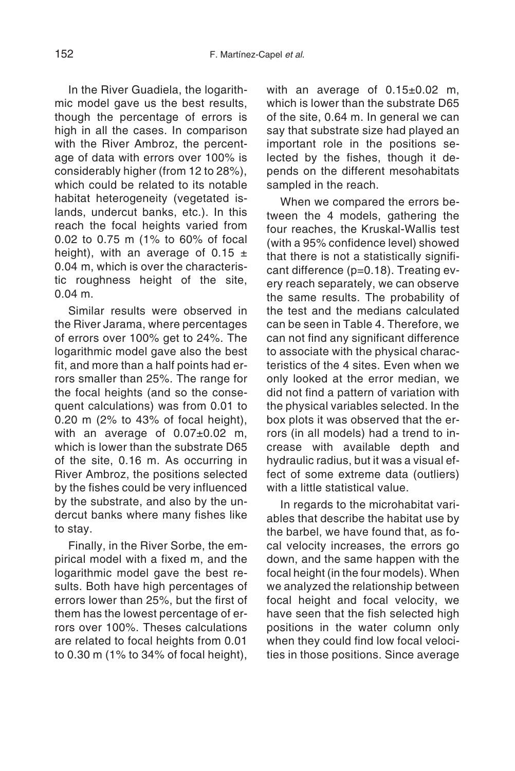In the River Guadiela, the logarithmic model gave us the best results, though the percentage of errors is high in all the cases. In comparison with the River Ambroz, the percentage of data with errors over 100% is considerably higher (from 12 to 28%), which could be related to its notable habitat heterogeneity (vegetated islands, undercut banks, etc.). In this reach the focal heights varied from 0.02 to 0.75 m (1% to 60% of focal height), with an average of 0.15  $\pm$ 0.04 m, which is over the characteristic roughness height of the site, 0.04 m.

Similar results were observed in the River Jarama, where percentages of errors over 100% get to 24%. The logarithmic model gave also the best fit, and more than a half points had errors smaller than 25%. The range for the focal heights (and so the consequent calculations) was from 0.01 to 0.20 m (2% to 43% of focal height), with an average of 0.07±0.02 m, which is lower than the substrate D65 of the site, 0.16 m. As occurring in River Ambroz, the positions selected by the fishes could be very influenced by the substrate, and also by the undercut banks where many fishes like to stay.

Finally, in the River Sorbe, the empirical model with a fixed m, and the logarithmic model gave the best results. Both have high percentages of errors lower than 25%, but the first of them has the lowest percentage of errors over 100%. Theses calculations are related to focal heights from 0.01 to 0.30 m (1% to 34% of focal height), with an average of 0.15±0.02 m, which is lower than the substrate D65 of the site, 0.64 m. In general we can say that substrate size had played an important role in the positions selected by the fishes, though it depends on the different mesohabitats sampled in the reach.

When we compared the errors between the 4 models, gathering the four reaches, the Kruskal-Wallis test (with a 95% confidence level) showed that there is not a statistically significant difference (p=0.18). Treating every reach separately, we can observe the same results. The probability of the test and the medians calculated can be seen in Table 4. Therefore, we can not find any significant difference to associate with the physical characteristics of the 4 sites. Even when we only looked at the error median, we did not find a pattern of variation with the physical variables selected. In the box plots it was observed that the errors (in all models) had a trend to increase with available depth and hydraulic radius, but it was a visual effect of some extreme data (outliers) with a little statistical value.

In regards to the microhabitat variables that describe the habitat use by the barbel, we have found that, as focal velocity increases, the errors go down, and the same happen with the focal height (in the four models). When we analyzed the relationship between focal height and focal velocity, we have seen that the fish selected high positions in the water column only when they could find low focal velocities in those positions. Since average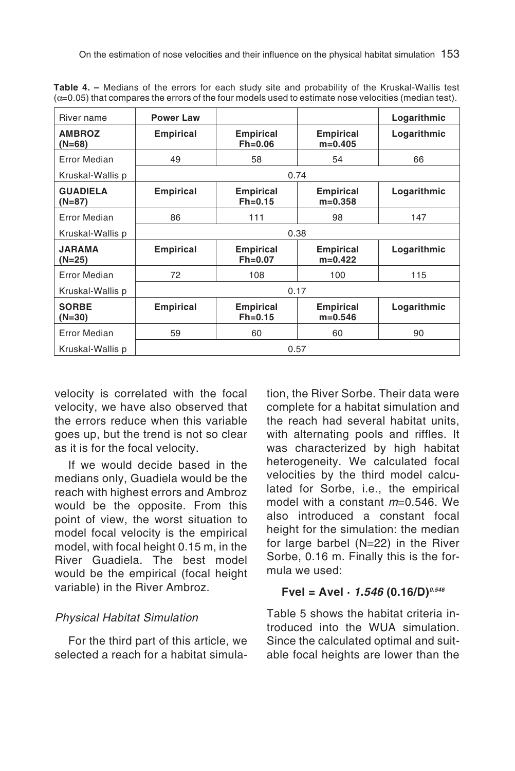| River name                  | <b>Power Law</b> |                                 |                               | Logarithmic |  |  |  |
|-----------------------------|------------------|---------------------------------|-------------------------------|-------------|--|--|--|
| <b>AMBROZ</b><br>$(N=68)$   | <b>Empirical</b> | <b>Empirical</b><br>$Fh = 0.06$ | <b>Empirical</b><br>$m=0.405$ | Logarithmic |  |  |  |
| <b>Error Median</b>         | 49               | 58                              | 54                            | 66          |  |  |  |
| Kruskal-Wallis p            |                  | 0.74                            |                               |             |  |  |  |
| <b>GUADIELA</b><br>$(N=87)$ | <b>Empirical</b> | <b>Empirical</b><br>$Fh = 0.15$ | <b>Empirical</b><br>$m=0.358$ | Logarithmic |  |  |  |
| Error Median                | 86               | 111                             | 98                            | 147         |  |  |  |
| Kruskal-Wallis p            |                  | 0.38                            |                               |             |  |  |  |
| <b>JARAMA</b><br>(N=25)     | <b>Empirical</b> | <b>Empirical</b><br>$Fh = 0.07$ | <b>Empirical</b><br>$m=0.422$ | Logarithmic |  |  |  |
| Error Median                | 72               | 108                             | 100                           | 115         |  |  |  |
| Kruskal-Wallis p            | 0.17             |                                 |                               |             |  |  |  |
| <b>SORBE</b><br>$(N=30)$    | <b>Empirical</b> | <b>Empirical</b><br>$Fh=0.15$   | <b>Empirical</b><br>$m=0.546$ | Logarithmic |  |  |  |
| <b>Error Median</b>         | 59               | 60                              | 60                            | 90          |  |  |  |
| Kruskal-Wallis p<br>0.57    |                  |                                 |                               |             |  |  |  |

**Table 4. –** Medians of the errors for each study site and probability of the Kruskal-Wallis test  $(\alpha=0.05)$  that compares the errors of the four models used to estimate nose velocities (median test).

velocity is correlated with the focal velocity, we have also observed that the errors reduce when this variable goes up, but the trend is not so clear as it is for the focal velocity.

If we would decide based in the medians only, Guadiela would be the reach with highest errors and Ambroz would be the opposite. From this point of view, the worst situation to model focal velocity is the empirical model, with focal height 0.15 m, in the River Guadiela. The best model would be the empirical (focal height variable) in the River Ambroz.

# Physical Habitat Simulation

For the third part of this article, we selected a reach for a habitat simulation, the River Sorbe. Their data were complete for a habitat simulation and the reach had several habitat units, with alternating pools and riffles. It was characterized by high habitat heterogeneity. We calculated focal velocities by the third model calculated for Sorbe, i.e., the empirical model with a constant <sup>m</sup>=0.546. We also introduced a constant focal height for the simulation: the median for large barbel (N=22) in the River Sorbe, 0.16 m. Finally this is the formula we used:

# $Fvel = Ave! \cdot 1.546 (0.16/D)^{0.546}$

Table 5 shows the habitat criteria introduced into the WUA simulation. Since the calculated optimal and suitable focal heights are lower than the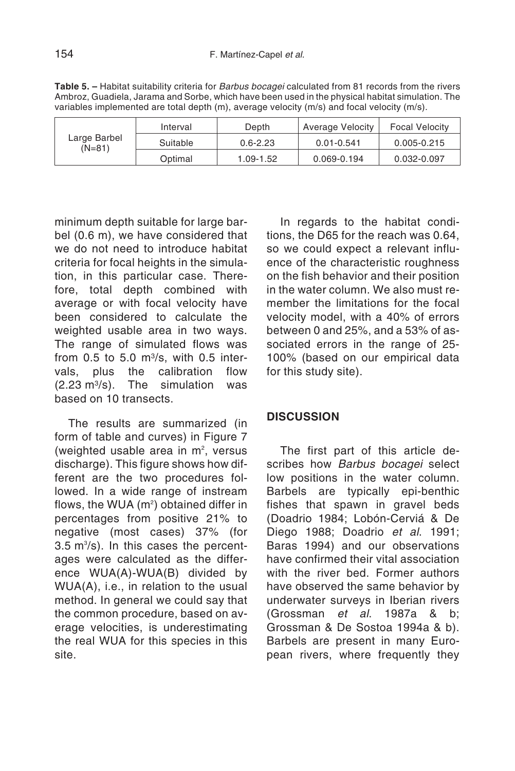Table 5. – Habitat suitability criteria for Barbus bocagei calculated from 81 records from the rivers Ambroz, Guadiela, Jarama and Sorbe, which have been used in the physical habitat simulation. The variables implemented are total depth (m), average velocity (m/s) and focal velocity (m/s).

| Large Barbel<br>$(N=81)$ | Interval | Depth        | Average Velocity | <b>Focal Velocity</b> |
|--------------------------|----------|--------------|------------------|-----------------------|
|                          | Suitable | $0.6 - 2.23$ | $0.01 - 0.541$   | 0.005-0.215           |
|                          | Optimal  | 1.09-1.52    | 0.069-0.194      | 0.032-0.097           |

minimum depth suitable for large barbel (0.6 m), we have considered that we do not need to introduce habitat criteria for focal heights in the simulation, in this particular case. Therefore, total depth combined with average or with focal velocity have been considered to calculate the weighted usable area in two ways. The range of simulated flows was from  $0.5$  to  $5.0$  m $\frac{3}{s}$ , with  $0.5$  intervals, plus the calibration flow  $(2.23 \text{ m}^3/\text{s})$ . The simulation was based on 10 transects.

The results are summarized (in form of table and curves) in Figure 7 (weighted usable area in  $m^2$ , versus discharge). This figure shows how different are the two procedures followed. In a wide range of instream flows, the WUA (m $^{\circ}$ ) obtained differ in percentages from positive 21% to negative (most cases) 37% (for  $3.5 \text{ m}^3\text{/s}$ ). In this cases the percentages were calculated as the difference WUA(A)-WUA(B) divided by WUA(A), i.e., in relation to the usual method. In general we could say that the common procedure, based on average velocities, is underestimating the real WUA for this species in this site.

In regards to the habitat conditions, the D65 for the reach was 0.64, so we could expect a relevant influence of the characteristic roughness on the fish behavior and their position in the water column. We also must remember the limitations for the focal velocity model, with a 40% of errors between 0 and 25%, and a 53% of associated errors in the range of 25-100% (based on our empirical data for this study site).

#### **DISCUSSION**

The first part of this article describes how Barbus bocagei select low positions in the water column. Barbels are typically epi-benthic fishes that spawn in gravel beds (Doadrio 1984; Lobón-Cerviá & De Diego 1988; Doadrio et al. 1991; Baras 1994) and our observations have confirmed their vital association with the river bed. Former authors have observed the same behavior by underwater surveys in Iberian rivers (Grossman et al. 1987a & b; Grossman & De Sostoa 1994a & b). Barbels are present in many European rivers, where frequently they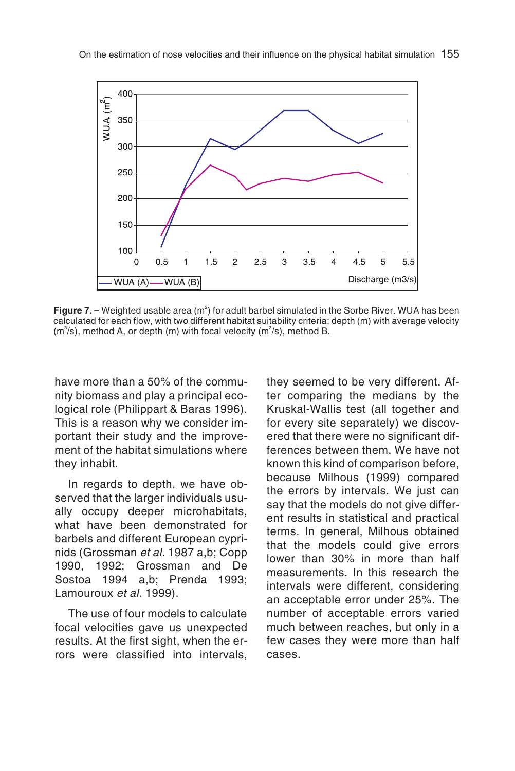

**Figure 7. –** Weighted usable area (m<sup>2</sup>) for adult barbel simulated in the Sorbe River. WUA has been calculated for each flow, with two different habitat suitability criteria: depth (m) with average velocity  $(m<sup>3</sup>/s)$ , method A, or depth (m) with focal velocity ( $m<sup>3</sup>/s$ ), method B.

have more than a 50% of the community biomass and play a principal ecological role (Philippart & Baras 1996). This is a reason why we consider important their study and the improvement of the habitat simulations where they inhabit.

In regards to depth, we have observed that the larger individuals usually occupy deeper microhabitats, what have been demonstrated for barbels and different European cyprinids (Grossman et al. 1987 a,b; Copp 1990, 1992; Grossman and De Sostoa 1994 a,b; Prenda 1993; Lamouroux et al. 1999).

The use of four models to calculate focal velocities gave us unexpected results. At the first sight, when the errors were classified into intervals,

they seemed to be very different. After comparing the medians by the Kruskal-Wallis test (all together and for every site separately) we discovered that there were no significant differences between them. We have not known this kind of comparison before, because Milhous (1999) compared the errors by intervals. We just can say that the models do not give different results in statistical and practical terms. In general, Milhous obtained that the models could give errors lower than 30% in more than half measurements. In this research the intervals were different, considering an acceptable error under 25%. The number of acceptable errors varied much between reaches, but only in a few cases they were more than half cases.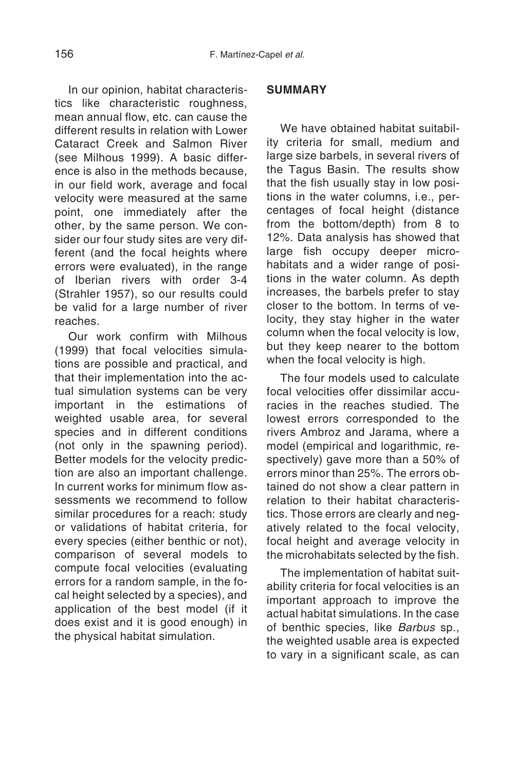In our opinion, habitat characteristics like characteristic roughness, mean annual flow, etc. can cause the different results in relation with Lower Cataract Creek and Salmon River (see Milhous 1999). A basic difference is also in the methods because, in our field work, average and focal velocity were measured at the same point, one immediately after the other, by the same person. We consider our four study sites are very different (and the focal heights where errors were evaluated), in the range of Iberian rivers with order 3-4 (Strahler 1957), so our results could be valid for a large number of river reaches.

Our work confirm with Milhous (1999) that focal velocities simulations are possible and practical, and that their implementation into the actual simulation systems can be very important in the estimations of weighted usable area, for several species and in different conditions (not only in the spawning period). Better models for the velocity prediction are also an important challenge. In current works for minimum flow assessments we recommend to follow similar procedures for a reach: study or validations of habitat criteria, for every species (either benthic or not), comparison of several models to compute focal velocities (evaluating errors for a random sample, in the focal height selected by a species), and application of the best model (if it does exist and it is good enough) in the physical habitat simulation.

#### **SUMMARY**

We have obtained habitat suitability criteria for small, medium and large size barbels, in several rivers of the Tagus Basin. The results show that the fish usually stay in low positions in the water columns, i.e., percentages of focal height (distance from the bottom/depth) from 8 to 12%. Data analysis has showed that large fish occupy deeper microhabitats and a wider range of positions in the water column. As depth increases, the barbels prefer to stay closer to the bottom. In terms of velocity, they stay higher in the water column when the focal velocity is low, but they keep nearer to the bottom when the focal velocity is high.

The four models used to calculate focal velocities offer dissimilar accuracies in the reaches studied. The lowest errors corresponded to the rivers Ambroz and Jarama, where a model (empirical and logarithmic, respectively) gave more than a 50% of errors minor than 25%. The errors obtained do not show a clear pattern in relation to their habitat characteristics. Those errors are clearly and negatively related to the focal velocity, focal height and average velocity in the microhabitats selected by the fish.

The implementation of habitat suitability criteria for focal velocities is an important approach to improve the actual habitat simulations. In the case of benthic species, like Barbus sp., the weighted usable area is expected to vary in a significant scale, as can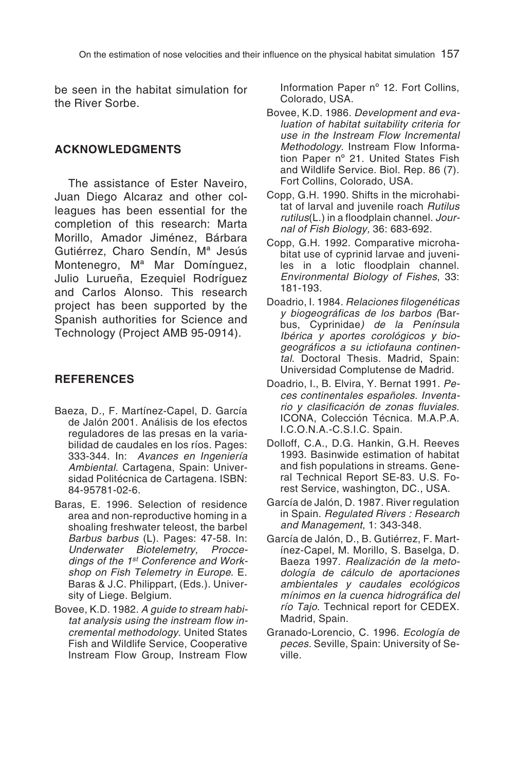be seen in the habitat simulation for the River Sorbe.

#### **ACKNOWLEDGMENTS**

The assistance of Ester Naveiro, Juan Diego Alcaraz and other colleagues has been essential for the completion of this research: Marta Morillo, Amador Jiménez, Bárbara Gutiérrez, Charo Sendín, Mª Jesús Montenegro, Mª Mar Domínguez, Julio Lurueña, Ezequiel Rodríguez and Carlos Alonso. This research project has been supported by the Spanish authorities for Science and Technology (Project AMB 95-0914).

#### **REFERENCES**

- Baeza, D., F. Martínez-Capel, D. García de Jalón 2001. Análisis de los efectos reguladores de las presas en la variabilidad de caudales en los ríos. Pages: 333-344. In: Avances en Ingeniería Ambiental. Cartagena, Spain: Universidad Politécnica de Cartagena. ISBN: 84-95781-02-6.
- Baras, E. 1996. Selection of residence area and non-reproductive homing in a shoaling freshwater teleost, the barbel Barbus barbus (L). Pages: 47-58. In: Underwater Biotelemetry, Proccedings of the 1<sup>st</sup> Conference and Workshop on Fish Telemetry in Europe. E. Baras & J.C. Philippart, (Eds.). University of Liege. Belgium.
- Bovee, K.D. 1982. A guide to stream habitat analysis using the instream flow incremental methodology. United States Fish and Wildlife Service, Cooperative Instream Flow Group, Instream Flow

Information Paper nº 12. Fort Collins, Colorado, USA.

- Bovee, K.D. 1986. Development and evaluation of habitat suitability criteria for use in the Instream Flow Incremental Methodology. Instream Flow Information Paper nº 21. United States Fish and Wildlife Service. Biol. Rep. 86 (7). Fort Collins, Colorado, USA.
- Copp, G.H. 1990. Shifts in the microhabitat of larval and juvenile roach Rutilus rutilus(L.) in a floodplain channel. Journal of Fish Biology, 36: 683-692.
- Copp, G.H. 1992. Comparative microhabitat use of cyprinid larvae and juveniles in a lotic floodplain channel. Environmental Biology of Fishes, 33: 181-193.
- Doadrio, I. 1984. Relaciones filogenéticas y biogeográficas de los barbos (Barbus, Cyprinidae) de la Península Ibérica y aportes corológicos y biogeográficos <sup>a</sup> su ictiofauna continental. Doctoral Thesis. Madrid, Spain: Universidad Complutense de Madrid.
- Doadrio, I., B. Elvira, Y. Bernat 1991. Peces continentales españoles. Inventario y clasificación de zonas fluviales. ICONA, Colección Técnica. M.A.P.A. I.C.O.N.A.-C.S.I.C. Spain.
- Dolloff, C.A., D.G. Hankin, G.H. Reeves 1993. Basinwide estimation of habitat and fish populations in streams. General Technical Report SE-83. U.S. Forest Service, washington, DC., USA.
- García de Jalón, D. 1987. River regulation in Spain. Regulated Rivers : Research and Management, 1: 343-348.
- García de Jalón, D., B. Gutiérrez, F. Martínez-Capel, M. Morillo, S. Baselga, D. Baeza 1997. Realización de la metodología de cálculo de aportaciones ambientales y caudales ecológicos mínimos en la cuenca hidrográfica del río Tajo. Technical report for CEDEX. Madrid, Spain.
- Granado-Lorencio, C. 1996. Ecología de peces. Seville, Spain: University of Seville.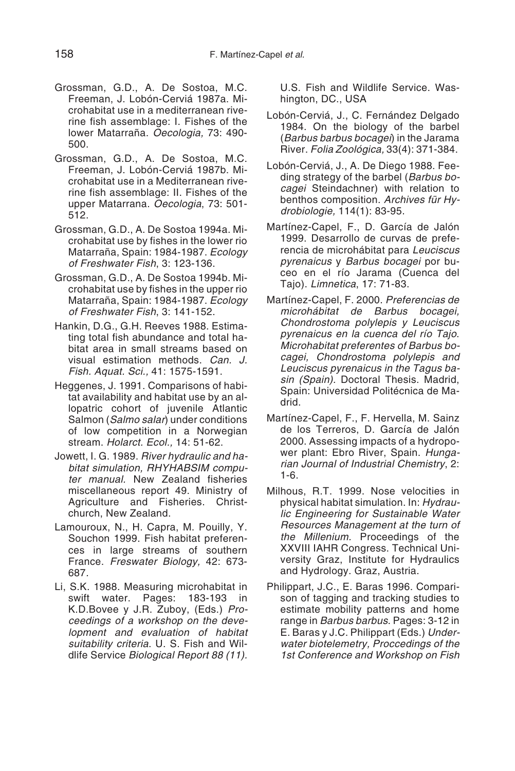- Grossman, G.D., A. De Sostoa, M.C. Freeman, J. Lobón-Cerviá 1987a. Microhabitat use in a mediterranean riverine fish assemblage: I. Fishes of the lower Matarraña. Oecologia, 73: 490- 500.
- Grossman, G.D., A. De Sostoa, M.C. Freeman, J. Lobón-Cerviá 1987b. Microhabitat use in a Mediterranean riverine fish assemblage: II. Fishes of the upper Matarrana. Oecologia, 73: 501- 512.
- Grossman, G.D., A. De Sostoa 1994a. Microhabitat use by fishes in the lower rio Matarraña, Spain: 1984-1987. Ecology of Freshwater Fish, 3: 123-136.
- Grossman, G.D., A. De Sostoa 1994b. Microhabitat use by fishes in the upper rio Matarraña, Spain: 1984-1987. Ecology of Freshwater Fish, 3: 141-152.
- Hankin, D.G., G.H. Reeves 1988. Estimating total fish abundance and total habitat area in small streams based on visual estimation methods. Can. J. Fish. Aquat. Sci., 41: 1575-1591.
- Heggenes, J. 1991. Comparisons of habitat availability and habitat use by an allopatric cohort of juvenile Atlantic Salmon (Salmo salar) under conditions of low competition in a Norwegian stream. Holarct. Ecol., 14: 51-62.
- Jowett, I. G. 1989. River hydraulic and habitat simulation, RHYHABSIM computer manual. New Zealand fisheries miscellaneous report 49. Ministry of Agriculture and Fisheries. Christchurch, New Zealand.
- Lamouroux, N., H. Capra, M. Pouilly, Y. Souchon 1999. Fish habitat preferences in large streams of southern France. Freswater Biology, 42: 673- 687.
- Li, S.K. 1988. Measuring microhabitat in swift water. Pages: 183-193 in K.D.Bovee y J.R. Zuboy, (Eds.) Proceedings of <sup>a</sup> workshop on the development and evaluation of habitat suitability criteria. U. S. Fish and Wildlife Service Biological Report 88 (11).

U.S. Fish and Wildlife Service. Washington, DC., USA

- Lobón-Cerviá, J., C. Fernández Delgado 1984. On the biology of the barbel (Barbus barbus bocagei) in the Jarama River. Folia Zoológica, 33(4): 371-384.
- Lobón-Cerviá, J., A. De Diego 1988. Feeding strategy of the barbel (Barbus bocagei Steindachner) with relation to benthos composition. Archives für Hydrobiologie, 114(1): 83-95.
- Martínez-Capel, F., D. García de Jalón 1999. Desarrollo de curvas de preferencia de microhábitat para Leuciscus pyrenaicus y Barbus bocagei por buceo en el río Jarama (Cuenca del Tajo). Limnetica, 17: 71-83.
- Martínez-Capel, F. 2000. Preferencias de microhábitat de Barbus bocagei, Chondrostoma polylepis y Leuciscus pyrenaicus en la cuenca del río Tajo. Microhabitat preferentes of Barbus bocagei, Chondrostoma polylepis and Leuciscus pyrenaicus in the Tagus basin (Spain). Doctoral Thesis. Madrid, Spain: Universidad Politécnica de Madrid.
- Martínez-Capel, F., F. Hervella, M. Sainz de los Terreros, D. García de Jalón 2000. Assessing impacts of a hydropower plant: Ebro River, Spain. Hungarian Journal of Industrial Chemistry, 2: 1-6.
- Milhous, R.T. 1999. Nose velocities in physical habitat simulation. In: Hydraulic Engineering for Sustainable Water Resources Management at the turn of the Millenium. Proceedings of the XXVIII IAHR Congress. Technical University Graz, Institute for Hydraulics and Hydrology. Graz, Austria.
- Philippart, J.C., E. Baras 1996. Comparison of tagging and tracking studies to estimate mobility patterns and home range in Barbus barbus. Pages: 3-12 in E. Baras y J.C. Philippart (Eds.) Underwater biotelemetry, Proccedings of the 1st Conference and Workshop on Fish